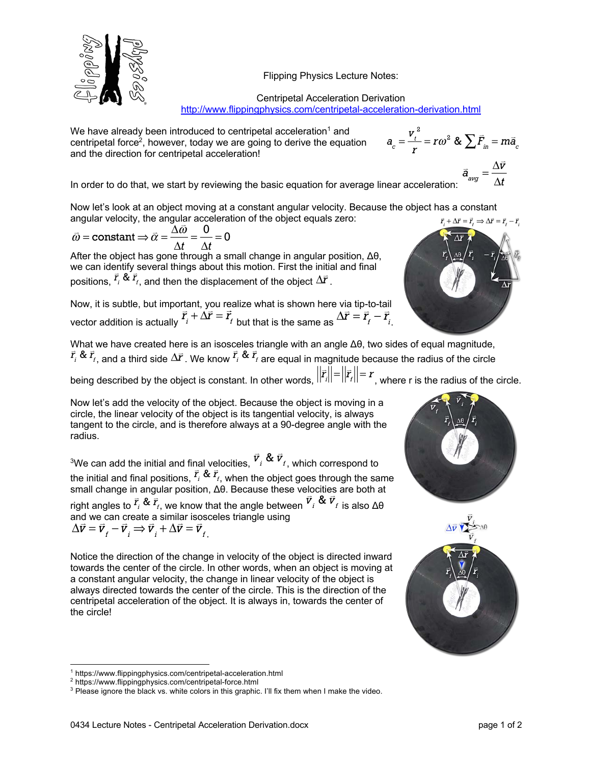Flipping Physics Lecture Notes:



We have already been introduced to centripetal acceleration<sup>1</sup> and centripetal force<sup>2</sup>, however, today we are going to derive the equation and the direction for centripetal acceleration!

 $a_c = \frac{v_t^2}{r} = r\omega^2$  &  $\sum \vec{F}_{in} = m\vec{a}_c$  $\vec{a}_{\text{avg}} = \frac{\Delta \vec{v}}{\Delta t}$ 

In order to do that, we start by reviewing the basic equation for average linear acceleration:

Now let's look at an object moving at a constant angular velocity. Because the object has a constant angular velocity, the angular acceleration of the object equals zero:  $\vec{r} + \Delta \vec{r} = \vec{r}$ ,  $\Rightarrow \Delta \vec{r} = \vec{r}$ ,  $-\vec{r}$ .

$$
\vec{\omega}
$$
 = constant  $\Rightarrow \vec{\alpha} = \frac{\Delta \vec{\omega}}{\Delta t} = \frac{0}{\Delta t} = 0$ 

After the object has gone through a small change in angular position, Δθ, we can identify several things about this motion. First the initial and final positions,  $\vec{r}_i \& \vec{r}_i$ , and then the displacement of the object  $\Delta \vec{r}$ .

Now, it is subtle, but important, you realize what is shown here via tip-to-tail vector addition is actually  $\vec{r}_i + \Delta \vec{r} = \vec{r}_f$  but that is the same as  $\Delta \vec{r} = \vec{r}_f - \vec{r}_i$ .

What we have created here is an isosceles triangle with an angle Δθ, two sides of equal magnitude,  $\vec{r}_i$  &  $\vec{r}_i$ , and a third side  $\Delta \vec{r}$ . We know  $\vec{r}_i$  &  $\vec{r}_i$  are equal in magnitude because the radius of the circle

being described by the object is constant. In other words,  $||\vec{r}_i|| = ||\vec{r}_i|| = r$ , where r is the radius of the circle.

Now let's add the velocity of the object. Because the object is moving in a circle, the linear velocity of the object is its tangential velocity, is always tangent to the circle, and is therefore always at a 90-degree angle with the radius.

<sup>3</sup>We can add the initial and final velocities,  $\vec{v}_i$  &  $\vec{v}_f$ , which correspond to the initial and final positions,  $\vec{r}_i \& \vec{r}_i$ , when the object goes through the same small change in angular position, Δθ. Because these velocities are both at right angles to  $\vec{r}_i$  &  $\vec{r}_i$ , we know that the angle between  $\vec{v}_i$  &  $\vec{v}_f$  is also  $\Delta\theta$ and we can create a similar isosceles triangle using  $\Delta \vec{v} = \vec{v}_t - \vec{v}_i \Rightarrow \vec{v}_t + \Delta \vec{v} = \vec{v}_t$ 

Notice the direction of the change in velocity of the object is directed inward towards the center of the circle. In other words, when an object is moving at a constant angular velocity, the change in linear velocity of the object is always directed towards the center of the circle. This is the direction of the centripetal acceleration of the object. It is always in, towards the center of the circle!





<sup>&</sup>lt;sup>1</sup> https://www.flippingphysics.com/centripetal-acceleration.html

<sup>2</sup> https://www.flippingphysics.com/centripetal-force.html

<sup>&</sup>lt;sup>3</sup> Please ignore the black vs. white colors in this graphic. I'll fix them when I make the video.